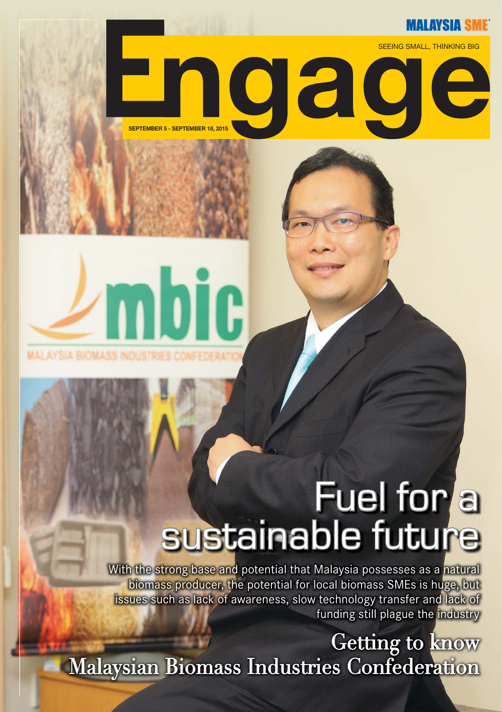## **MALAYSIA SME**



# 1 O G

## Fuel for a<br>sustainable future

With the strong base and potential that Malaysia possesses as a natural biomass producer, the potential for local biomass SMEs is huge, but issues such as lack of awareness, slow technology transfer and lack of funding still plague the industry

Getting to know Malaysian Biomass Industries Confederation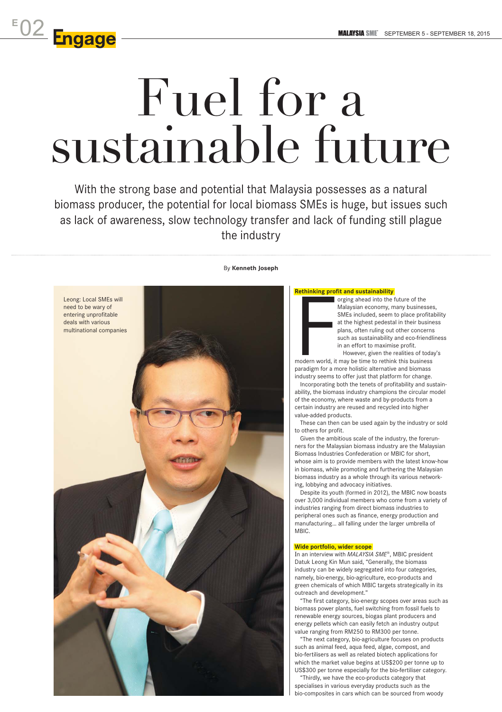## Fuel for a sustainable future

**E** 02

With the strong base and potential that Malaysia possesses as a natural biomass producer, the potential for local biomass SMEs is huge, but issues such as lack of awareness, slow technology transfer and lack of funding still plague the industry



## By **Kenneth Joseph**

orging ahead into the future of the Malaysian economy, many businesses, SMEs included, seem to place profitability at the highest pedestal in their business plans, often ruling out other concerns such as sustainability and eco-friendliness in an effort to maximise profit.

However, given the realities of today's

paradigm for a more holistic alternative and biomass industry seems to offer just that platform for change.

Incorporating both the tenets of profitability and sustainability, the biomass industry champions the circular model of the economy, where waste and by-products from a certain industry are reused and recycled into higher

These can then can be used again by the industry or sold

Given the ambitious scale of the industry, the forerunners for the Malaysian biomass industry are the Malaysian Biomass Industries Confederation or MBIC for short, whose aim is to provide members with the latest know-how in biomass, while promoting and furthering the Malaysian biomass industry as a whole through its various network-

Despite its youth (formed in 2012), the MBIC now boasts over 3,000 individual members who come from a variety of industries ranging from direct biomass industries to peripheral ones such as finance, energy production and manufacturing… all falling under the larger umbrella of

In an interview with *MALAYSIA SME*®, MBIC president Datuk Leong Kin Mun said, "Generally, the biomass industry can be widely segregated into four categories, namely, bio-energy, bio-agriculture, eco-products and green chemicals of which MBIC targets strategically in its

"The first category, bio-energy scopes over areas such as biomass power plants, fuel switching from fossil fuels to renewable energy sources, biogas plant producers and energy pellets which can easily fetch an industry output value ranging from RM250 to RM300 per tonne.

"The next category, bio-agriculture focuses on products such as animal feed, aqua feed, algae, compost, and bio-fertilisers as well as related biotech applications for which the market value begins at US\$200 per tonne up to US\$300 per tonne especially for the bio-fertiliser category.

"Thirdly, we have the eco-products category that specialises in various everyday products such as the bio-composites in cars which can be sourced from woody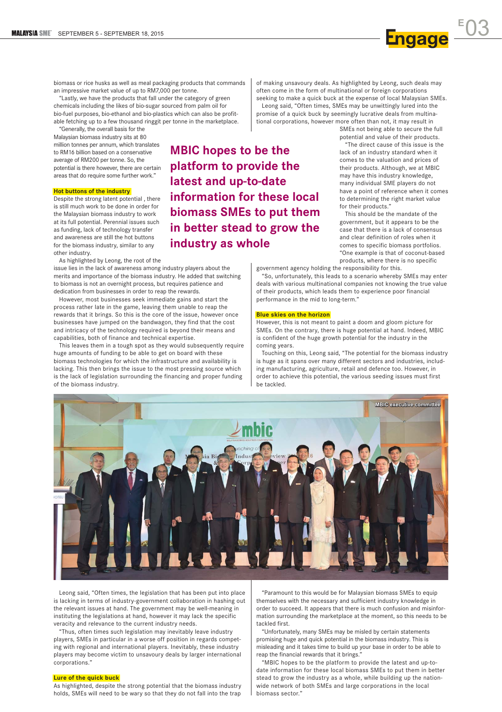biomass or rice husks as well as meal packaging products that commands an impressive market value of up to RM7,000 per tonne.

"Lastly, we have the products that fall under the category of green chemicals including the likes of bio-sugar sourced from palm oil for bio-fuel purposes, bio-ethanol and bio-plastics which can also be profitable fetching up to a few thousand ringgit per tonne in the marketplace.

"Generally, the overall basis for the Malaysian biomass industry sits at 80 million tonnes per annum, which translates to RM16 billion based on a conservative average of RM200 per tonne. So, the potential is there however, there are certain areas that do require some further work."

## **Hot buttons of the industry**

Despite the strong latent potential , there is still much work to be done in order for the Malaysian biomass industry to work at its full potential. Perennial issues such as funding, lack of technology transfer and awareness are still the hot buttons for the biomass industry, similar to any other industry.

As highlighted by Leong, the root of the

issue lies in the lack of awareness among industry players about the merits and importance of the biomass industry. He added that switching to biomass is not an overnight process, but requires patience and dedication from businesses in order to reap the rewards.

However, most businesses seek immediate gains and start the process rather late in the game, leaving them unable to reap the rewards that it brings. So this is the core of the issue, however once businesses have jumped on the bandwagon, they find that the cost and intricacy of the technology required is beyond their means and capabilities, both of finance and technical expertise.

This leaves them in a tough spot as they would subsequently require huge amounts of funding to be able to get on board with these biomass technologies for which the infrastructure and availability is lacking. This then brings the issue to the most pressing source which is the lack of legislation surrounding the financing and proper funding of the biomass industry.

**MBIC hopes to be the platform to provide the latest and up-to-date information for these local biomass SMEs to put them in better stead to grow the industry as whole**

of making unsavoury deals. As highlighted by Leong, such deals may often come in the form of multinational or foreign corporations seeking to make a quick buck at the expense of local Malaysian SMEs. Leong said, "Often times, SMEs may be unwittingly lured into the promise of a quick buck by seemingly lucrative deals from multinational corporations, however more often than not, it may result in

> SMEs not being able to secure the full potential and value of their products. "The direct cause of this issue is the lack of an industry standard when it comes to the valuation and prices of their products. Although, we at MBIC may have this industry knowledge, many individual SME players do not have a point of reference when it comes to determining the right market value for their products."

This should be the mandate of the government, but it appears to be the case that there is a lack of consensus and clear definition of roles when it comes to specific biomass portfolios. "One example is that of coconut-based products, where there is no specific

government agency holding the responsibility for this.

"So, unfortunately, this leads to a scenario whereby SMEs may enter deals with various multinational companies not knowing the true value of their products, which leads them to experience poor financial performance in the mid to long-term."

## **Blue skies on the horizon**

However, this is not meant to paint a doom and gloom picture for SMEs. On the contrary, there is huge potential at hand. Indeed, MBIC is confident of the huge growth potential for the industry in the coming years.

Touching on this, Leong said, "The potential for the biomass industry is huge as it spans over many different sectors and industries, including manufacturing, agriculture, retail and defence too. However, in order to achieve this potential, the various seeding issues must first be tackled.



Leong said, "Often times, the legislation that has been put into place is lacking in terms of industry-government collaboration in hashing out the relevant issues at hand. The government may be well-meaning in instituting the legislations at hand, however it may lack the specific veracity and relevance to the current industry needs.

"Thus, often times such legislation may inevitably leave industry players, SMEs in particular in a worse off position in regards competing with regional and international players. Inevitably, these industry players may become victim to unsavoury deals by larger international corporations."

### **Lure of the quick buck**

As highlighted, despite the strong potential that the biomass industry holds, SMEs will need to be wary so that they do not fall into the trap

"Paramount to this would be for Malaysian biomass SMEs to equip themselves with the necessary and sufficient industry knowledge in order to succeed. It appears that there is much confusion and misinformation surrounding the marketplace at the moment, so this needs to be tackled first.

"Unfortunately, many SMEs may be misled by certain statements promising huge and quick potential in the biomass industry. This is misleading and it takes time to build up your base in order to be able to reap the financial rewards that it brings."

"MBIC hopes to be the platform to provide the latest and up-todate information for these local biomass SMEs to put them in better stead to grow the industry as a whole, while building up the nationwide network of both SMEs and large corporations in the local biomass sector."